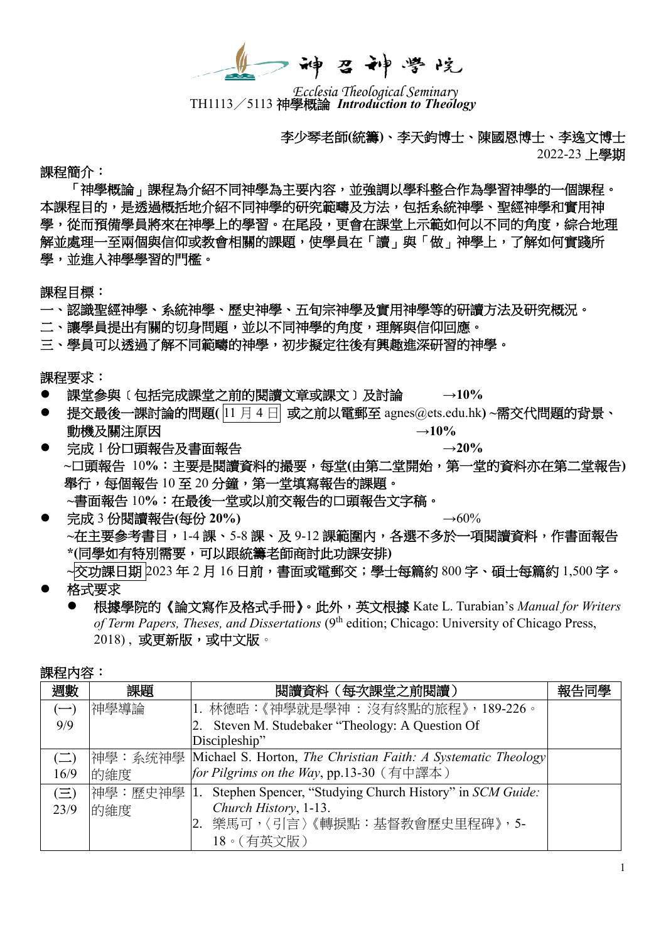神召神学院

TH1113/5113 神學概論 *Introduction to Theology Ecclesia Theological Seminary*

李少琴老師**(**統籌**)**、李天鈞博士、陳國恩博士、李逸文博士 2022-23 上學期

課程簡介:

「神學概論」課程為介紹不同神學為主要內容,並強調以學科整合作為學習神學的一個課程。 本課程目的,是透過概括地介紹不同神學的研究範疇及方法,包括系統神學、聖經神學和實用神 學,從而預備學員將來在神學上的學習。在尾段,更會在課堂上示範如何以不同的角度,綜合地理 解並處理一至兩個與信仰或教會相關的課題,使學員在「讀」與「做」神學上,了解如何實踐所 學,並進入神學學習的門檻。

課程目標:

- 一、認識聖經神學、系統神學、歷史神學、五旬宗神學及實用神學等的研讀方法及研究概況。
- 二、讓學員提出有關的切身問題,並以不同神學的角度,理解與信仰回應。
- 三、學員可以透過了解不同範疇的神學,初步擬定往後有興趣進深研習的神學。

課程要求:

- 課堂參與﹝包括完成課堂之前的閱讀文章或課文﹞及討論 **→10%**
- 提交最後一課討論的問題**(** 11 月 4 日 或之前以電郵至 agnes@ets.edu.hk**) ~**需交代問題的背景、 動機及關注原因<br>
→10%
- 完成 1 份口頭報告及書面報告 **→20% ~**口頭報告 10**%**:主要是閱讀資料的撮要,每堂**(**由第二堂開始,第一堂的資料亦在第二堂報告**)** 舉行,每個報告 10 至 20 分鐘,第一堂填寫報告的課題。  **~**書面報告 10**%**:在最後一堂或以前交報告的口頭報告文字稿。
- 完成 3 份閱讀報告(每份 20%) →60% **~**在主要參考書目,1-4 課、5-8 課、及 9-12 課範圍內,各選不多於一項閱讀資料,作書面報告 **\*(**同學如有特別需要,可以跟統籌老師商討此功課安排**) ~**交功課日期 2023 年 2 月 16 日前,書面或電郵交;學士每篇約 800 字、碩士每篇約 1,500 字。
- 格式要求
	- 根據學院的《論文寫作及格式手冊》。此外,英文根據 Kate L. Turabian's *Manual for Writers*  of Term Papers, Theses, and Dissertations (9<sup>th</sup> edition; Chicago: University of Chicago Press, 2018), 或更新版,或中文版。

| 課程內容 |  |
|------|--|
|------|--|

| 週數         | 課題   | 閱讀資料 (每次課堂之前閱讀)                                                               | 報告同學 |
|------------|------|-------------------------------------------------------------------------------|------|
| $(-)$      | 神學導論 | 1. 林德晧:《神學就是學神 : 沒有終點的旅程》,189-226。                                            |      |
| 9/9        |      | Steven M. Studebaker "Theology: A Question Of                                 |      |
|            |      | Discipleship"                                                                 |      |
| $(\equiv)$ |      | 神學:系统神學  Michael S. Horton, <i>The Christian Faith: A Systematic Theology</i> |      |
| 16/9       | 的維度  | for Pilgrims on the Way, pp.13-30 (有中譯本)                                      |      |
| $(\equiv)$ |      | 神學: 歷史神學 1. Stephen Spencer, "Studying Church History" in SCM Guide:          |      |
| 23/9       | 的維度  | Church History, 1-13.                                                         |      |
|            |      | 樂馬可,〈引言〉《轉捩點:基督教會歷史里程碑》, 5-                                                   |      |
|            |      | 18。(有英文版)                                                                     |      |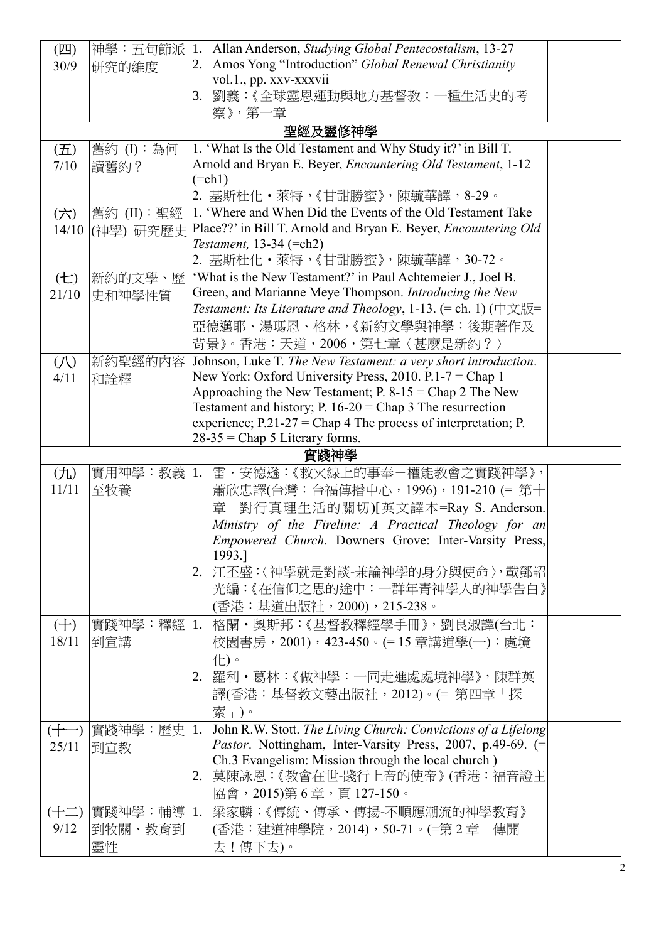| $(\mathbb{Z})$     | 神學:五旬節派     | 1.                                                              | Allan Anderson, Studying Global Pentecostalism, 13-27                                   |  |
|--------------------|-------------|-----------------------------------------------------------------|-----------------------------------------------------------------------------------------|--|
| 30/9               | 研究的維度       | 2.                                                              | Amos Yong "Introduction" Global Renewal Christianity                                    |  |
|                    |             |                                                                 | vol.1., pp. xxv-xxxvii                                                                  |  |
|                    |             |                                                                 | 3. 劉義:《全球靈恩運動與地方基督教:一種生活史的考                                                             |  |
|                    |             |                                                                 | 察》,第一章                                                                                  |  |
|                    |             |                                                                 | 聖經及靈修神學                                                                                 |  |
| $(\overline{\pm})$ | 舊約(I):為何    |                                                                 | 1. 'What Is the Old Testament and Why Study it?' in Bill T.                             |  |
| 7/10               | 讀舊約?        |                                                                 | Arnold and Bryan E. Beyer, <i>Encountering Old Testament</i> , 1-12                     |  |
|                    |             |                                                                 | $(=ch1)$                                                                                |  |
|                    |             |                                                                 | 2. 基斯杜化・萊特,《甘甜勝蜜》,陳毓華譯,8-29。                                                            |  |
| (7)                | 舊約 (II):聖經  |                                                                 | 1. 'Where and When Did the Events of the Old Testament Take                             |  |
| 14/10              | (神學) 研究歷史   | Place??' in Bill T. Arnold and Bryan E. Beyer, Encountering Old |                                                                                         |  |
|                    |             |                                                                 | Testament, 13-34 (=ch2)                                                                 |  |
|                    |             |                                                                 | 2. 基斯杜化・萊特,《甘甜勝蜜》,陳毓華譯,30-72。                                                           |  |
| (E)                | 新約的文學、歷     |                                                                 | 'What is the New Testament?' in Paul Achtemeier J., Joel B.                             |  |
| 21/10              | 史和神學性質      |                                                                 | Green, and Marianne Meye Thompson. Introducing the New                                  |  |
|                    |             |                                                                 | Testament: Its Literature and Theology, 1-13. $(=$ ch. 1) $(\nuparrow \chi \mathbb{H})$ |  |
|                    |             |                                                                 | 亞德邁耶、湯瑪恩、格林,《新約文學與神學:後期著作及                                                              |  |
|                    |             |                                                                 | 背景》。香港:天道,2006,第七章〈甚麼是新約?〉                                                              |  |
| (1)                | 新約聖經的內容     |                                                                 | Johnson, Luke T. The New Testament: a very short introduction.                          |  |
| 4/11               | 和詮釋         |                                                                 | New York: Oxford University Press, 2010. P.1-7 = Chap 1                                 |  |
|                    |             |                                                                 | Approaching the New Testament; $P. 8-15 = Chap 2$ The New                               |  |
|                    |             |                                                                 | Testament and history; P. $16-20$ = Chap 3 The resurrection                             |  |
|                    |             |                                                                 | experience; $P.21-27 =$ Chap 4 The process of interpretation; P.                        |  |
|                    |             |                                                                 | $28-35 =$ Chap 5 Literary forms.                                                        |  |
|                    |             |                                                                 | 實踐神學                                                                                    |  |
| $(\mathcal{F}_L)$  | 實用神學:教義  1. |                                                                 | 雷・安德遜:《救火線上的事奉-權能教會之實踐神學》,                                                              |  |
| 11/11              | 至牧養         |                                                                 | 蕭欣忠譯(台灣:台福傳播中心, 1996), 191-210 (= 第十                                                    |  |
|                    |             |                                                                 | 對行真理生活的關切)[英文譯本=Ray S. Anderson.<br>章                                                   |  |
|                    |             |                                                                 | Ministry of the Fireline: A Practical Theology for an                                   |  |
|                    |             |                                                                 | Empowered Church. Downers Grove: Inter-Varsity Press,                                   |  |
|                    |             |                                                                 | 1993.]                                                                                  |  |
|                    |             |                                                                 | 江丕盛:〈神學就是對談-兼論神學的身分與使命〉,載鄧詔                                                             |  |
|                    |             |                                                                 | 光編:《在信仰之思的途中:一群年青神學人的神學告白》                                                              |  |
|                    |             |                                                                 |                                                                                         |  |
|                    |             |                                                                 | (香港:基道出版社,2000),215-238。                                                                |  |
| $(+)$              |             |                                                                 | 實踐神學:釋經  1.格蘭・奧斯邦:《基督教釋經學手冊》,劉良淑譯(台北:                                                   |  |
| 18/11              | 倒宣講         |                                                                 | 校園書房,2001),423-450。(= 15 章講道學(一):處境                                                     |  |
|                    |             |                                                                 | 化。                                                                                      |  |
|                    |             |                                                                 | 2. 羅利・葛林:《做神學:一同走進處處境神學》,陳群英.                                                           |  |
|                    |             |                                                                 | 譯(香港:基督教文藝出版社,2012)。(= 第四章「探                                                            |  |
|                    |             |                                                                 | 索」)。                                                                                    |  |
| $(+-)$             | 實踐神學:歷史     | 1.                                                              | John R.W. Stott. The Living Church: Convictions of a Lifelong                           |  |
| 25/11              | 到宣教         |                                                                 | Pastor. Nottingham, Inter-Varsity Press, 2007, p.49-69. (=                              |  |
|                    |             |                                                                 | Ch.3 Evangelism: Mission through the local church)                                      |  |
|                    |             | 2.                                                              | 莫陳詠恩:《教會在世-踐行上帝的使帝》(香港:福音證主                                                             |  |
|                    |             |                                                                 | 協會,2015)第6章,頁 127-150。                                                                  |  |
| $(\pm \pm)$        | 實踐神學:輔導  1. |                                                                 | 梁家麟:《傳統、傳承、傳揚-不順應潮流的神學教育》                                                               |  |
| 9/12               | 到牧關、教育到     |                                                                 | (香港:建道神學院,2014),50-71。(=第2章 傳開                                                          |  |
|                    | 靈性          |                                                                 | 去!傳下去)。                                                                                 |  |
|                    |             |                                                                 |                                                                                         |  |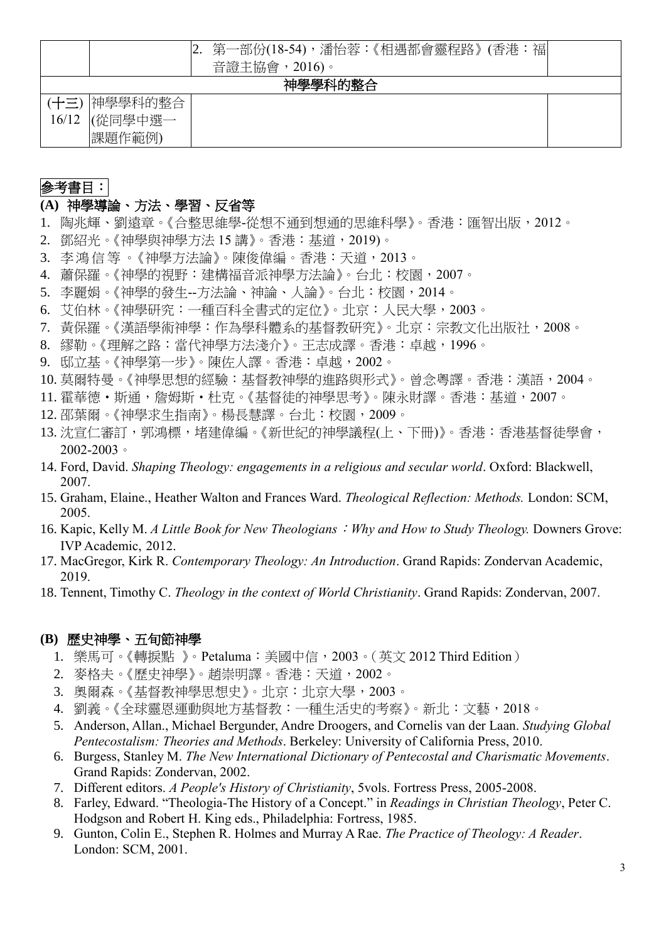|                                                | 福<br>第一部份(18-54),潘怡蓉:《相遇都會靈程路》(香港:<br>音證主協會, 2016)。 |  |  |  |  |
|------------------------------------------------|-----------------------------------------------------|--|--|--|--|
| 神學學科的整合                                        |                                                     |  |  |  |  |
| 神學學科的整合<br>(十三)<br> (從同學中選一<br>16/12<br>課題作範例) |                                                     |  |  |  |  |

# 參考書目:

# **(A)** 神學導論、方法、學習、反省等

- 1. 陶兆輝、劉遠章。《合整思維學-從想不通到想通的思維科學》。香港:匯智出版,2012。
- 2. 鄧紹光。《神學與神學方法 15 講》。香港:基道,2019)。
- 3. 李鴻 信 等。《神學方法論》。陳俊偉編。香港:天道,2013。
- 4. 蕭保羅。《神學的視野:建構福音派神學方法論》。台北:校園,2007。
- 5. 李麗娟。《神學的發生--方法論、神論、人論》。台北:校園,2014。
- 6. 艾伯林。《神學研究:一種百科全書式的定位》。北京:人民大學,2003。
- 7. 黃保羅。《漢語學術神學:作為學科體系的基督教研究》。北京:宗教文化出版社,2008。
- 8. 繆勒。《理解之路:當代神學方法淺介》。王志成譯。香港:卓越,1996。
- 9. 邸立基。《神學第一步》。陳佐人譯。香港:卓越,2002。
- 10. 莫爾特曼。《神學思想的經驗:基督教神學的進路與形式》。曾念粵譯。香港:漢語,2004。
- 11. 霍華德·斯通,詹姆斯·杜克。《基督徒的神學思考》。陳永財譯。香港: 基道, 2007。
- 12. 邵葉爾。《神學求生指南》。楊長慧譯。台北:校園,2009。
- 13. 沈宣仁審訂,郭鴻標,堵建偉編。《新世紀的神學議程(上、下冊)》。香港:香港基督徒學會, 2002-2003。
- 14. Ford, David. *Shaping Theology: engagements in a religious and secular world*. Oxford: Blackwell, 2007.
- 15. Graham, Elaine., Heather Walton and Frances Ward. *Theological Reflection: Methods.* London: SCM, 2005.
- 16. Kapic, Kelly M. *A Little Book for New Theologians*:*Why and How to Study Theology.* Downers Grove: IVP Academic, 2012.
- 17. MacGregor, Kirk R. *Contemporary Theology: An Introduction*. Grand Rapids: Zondervan Academic, 2019.
- 18. Tennent, Timothy C. *Theology in the context of World Christianity*. Grand Rapids: Zondervan, 2007.

## **(B)** 歷史神學、五旬節神學

- 1. 樂馬可。《轉捩點 》。Petaluma:美國中信,2003。(英文 2012 Third Edition)
- 2. 麥格夫。《歷史神學》。趙崇明譯。香港:天道,2002。
- 3. 奧爾森。《基督教神學思想史》。北京:北京大學,2003。
- 4. 劉義。《全球靈恩運動與地方基督教:一種生活史的考察》。新北:文藝,2018。
- 5. Anderson, Allan., Michael Bergunder, Andre Droogers, and Cornelis van der Laan. *Studying Global Pentecostalism: Theories and Methods*. Berkeley: University of California Press, 2010.
- 6. Burgess, Stanley M. *The New International Dictionary of Pentecostal and Charismatic Movements*. Grand Rapids: Zondervan, 2002.
- 7. Different editors. *A People's History of Christianity*, 5vols. Fortress Press, 2005-2008.
- 8. Farley, Edward. "Theologia-The History of a Concept." in *Readings in Christian Theology*, Peter C. Hodgson and Robert H. King eds., Philadelphia: Fortress, 1985.
- 9. Gunton, Colin E., Stephen R. Holmes and Murray A Rae. *The Practice of Theology: A Reader*. London: SCM, 2001.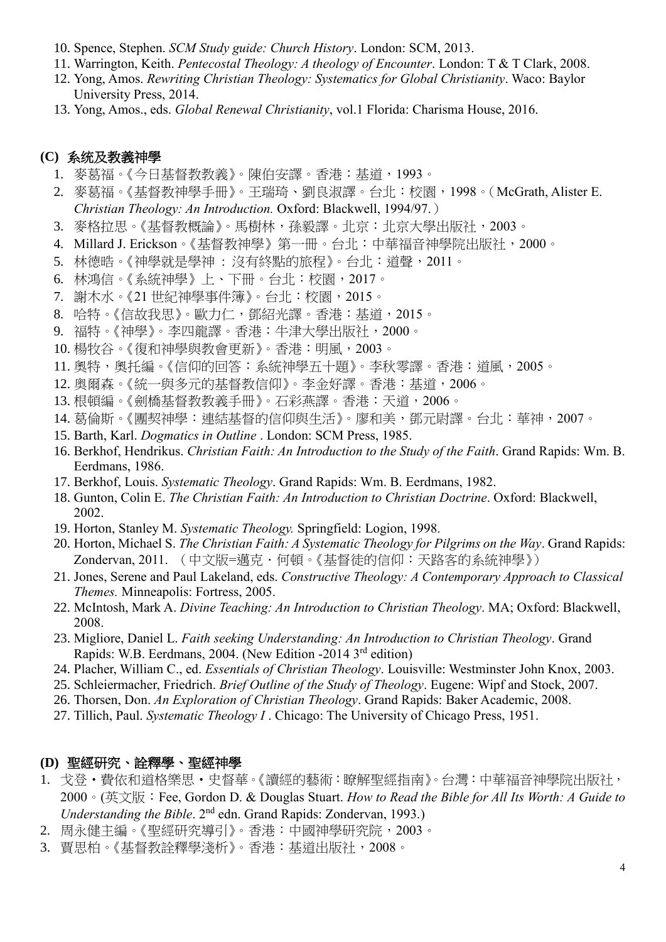- 10. Spence, Stephen. *SCM Study guide: Church History*. London: SCM, 2013.
- 11. Warrington, Keith. *Pentecostal Theology: A theology of Encounter*. London: T & T Clark, 2008.
- 12. Yong, Amos. *Rewriting Christian Theology: Systematics for Global Christianity*. Waco: Baylor University Press, 2014.
- 13. Yong, Amos., eds. *Global Renewal Christianity*, vol.1 Florida: Charisma House, 2016.

### **(C)** 系统及教義神學

- 1. 麥葛福。《今日基督教教義》。陳伯安譯。香港:基道,1993。
- 2. 麥葛福。《基督教神學手冊》。王瑞琦、劉良淑譯。台北:校園,1998。(McGrath, Alister E. *Christian Theology: An Introduction.* Oxford: Blackwell, 1994/97.)
- 3. 麥格拉思。《基督教概論》。馬樹林,孫毅譯。北京:北京大學出版社,2003。
- 4. Millard J. Erickson。《基督教神學》第一冊。台北:中華福音神學院出版社,2000。
- 5. 林德晧。《神學就是學神: 沒有終點的旅程》。台北:道聲, 2011。
- 6. 林鴻信。《系統神學》上、下冊。台北:校園,2017。
- 7. 謝木水。《21 世紀神學事件簿》。台北:校園,2015。
- 8. 哈特。《信故我思》。歐力仁,鄧紹光譯。香港:基道,2015。
- 9. 福特。《神學》。李四龍譯。香港:牛津大學出版社,2000。
- 10. 楊牧谷。《復和神學與教會更新》。香港:明風,2003。
- 11. 奧特,奧托編。《信仰的回答: 系統神學五十題》。李秋零譯。香港: 道風, 2005。
- 12. 奥爾森。《統一與多元的基督教信仰》。李金好譯。香港:基道,2006。
- 13. 根頓編。《劍橋基督教教義手冊》。石彩燕譯。香港:天道,2006。
- 14. 葛倫斯。《團契神學:連結基督的信仰與生活》。廖和美,鄧元尉譯。台北:華神,2007。
- 15. Barth, Karl. *Dogmatics in Outline* . London: SCM Press, 1985.
- 16. Berkhof, Hendrikus. *Christian Faith: An Introduction to the Study of the Faith*. Grand Rapids: Wm. B. Eerdmans, 1986.
- 17. Berkhof, Louis. *Systematic Theology*. Grand Rapids: Wm. B. Eerdmans, 1982.
- 18. Gunton, Colin E. *The Christian Faith: An Introduction to Christian Doctrine*. Oxford: Blackwell, 2002.
- 19. Horton, Stanley M. *Systematic Theology.* Springfield: Logion, 1998.
- 20. Horton, Michael S. *The Christian Faith: A Systematic Theology for Pilgrims on the Way*. Grand Rapids: Zondervan, 2011. (中文版=邁克·何頓。《基督徒的信仰:天路客的系統神學》)
- 21. Jones, Serene and Paul Lakeland, eds. *Constructive Theology: A Contemporary Approach to Classical Themes.* Minneapolis: Fortress, 2005.
- 22. McIntosh, Mark A. *Divine Teaching: An Introduction to Christian Theology*. MA; Oxford: Blackwell, 2008.
- 23. Migliore, Daniel L. *Faith seeking Understanding: An Introduction to Christian Theology*. Grand Rapids: W.B. Eerdmans, 2004. (New Edition -2014 3rd edition)
- 24. Placher, William C., ed. *Essentials of Christian Theology*. Louisville: Westminster John Knox, 2003.
- 25. Schleiermacher, Friedrich. *Brief Outline of the Study of Theology*. Eugene: Wipf and Stock, 2007.
- 26. Thorsen, Don. *An Exploration of Christian Theology*. Grand Rapids: Baker Academic, 2008.
- 27. Tillich, Paul. *Systematic Theology I* . Chicago: The University of Chicago Press, 1951.

#### **(D)** 聖經研究、詮釋學、聖經神學

- 1. 戈登·費依和道格樂思·史督華。《讀經的藝術:瞭解聖經指南》。台灣:中華福音神學院出版社, 2000。(英文版:Fee, Gordon D. & Douglas Stuart. *How to Read the Bible for All Its Worth: A Guide to Understanding the Bible*. 2<sup>nd</sup> edn. Grand Rapids: Zondervan, 1993.)
- 2. 周永健主編。《聖經研究導引》。香港:中國神學研究院,2003。
- 3. 賈思柏。《基督教詮釋學淺析》。香港:基道出版社,2008。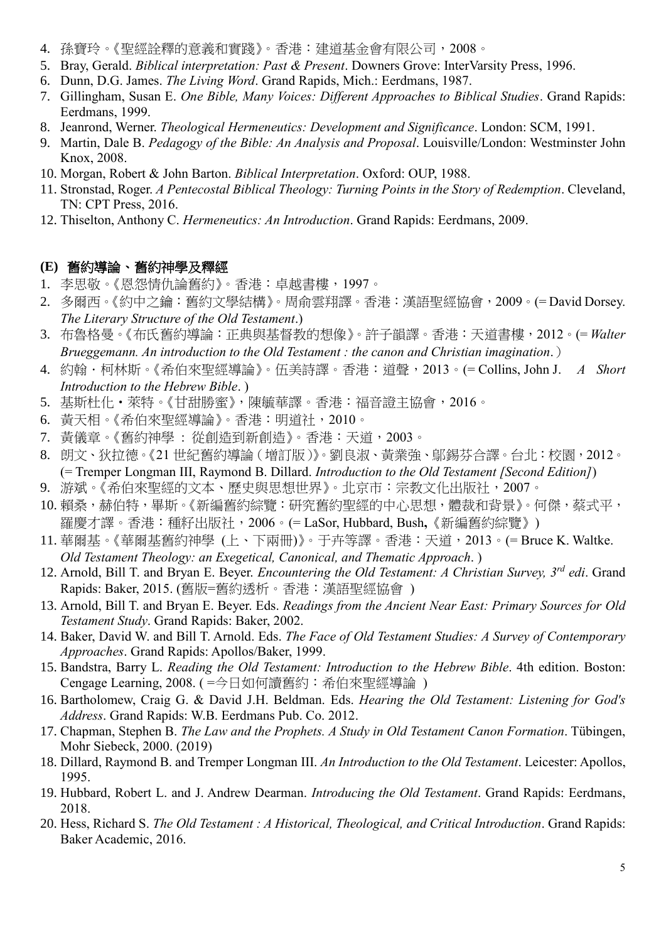- 4. 孫寶玲。《聖經詮釋的意義和實踐》。香港:建道基金會有限公司,2008。
- 5. Bray, Gerald. *Biblical interpretation: Past & Present*. Downers Grove: InterVarsity Press, 1996.
- 6. Dunn, D.G. James. *The Living Word*. Grand Rapids, Mich.: Eerdmans, 1987.
- 7. Gillingham, Susan E. *One Bible, Many Voices: Different Approaches to Biblical Studies*. Grand Rapids: Eerdmans, 1999.
- 8. Jeanrond, Werner. *Theological Hermeneutics: Development and Significance*. London: SCM, 1991.
- 9. Martin, Dale B. *Pedagogy of the Bible: An Analysis and Proposal*. Louisville/London: Westminster John Knox, 2008.
- 10. Morgan, Robert & John Barton. *Biblical Interpretation*. Oxford: OUP, 1988.
- 11. Stronstad, Roger. *A Pentecostal Biblical Theology: Turning Points in the Story of Redemption*. Cleveland, TN: CPT Press, 2016.
- 12. Thiselton, Anthony C. *Hermeneutics: An Introduction*. Grand Rapids: Eerdmans, 2009.

## **(E)** 舊約導論、舊約神學及釋經

- 1. 李思敬。《恩怨情仇論舊約》。香港:卓越書樓,1997。
- 2. 多爾西。《約中之鑰:舊約文學結構》。周俞雲翔譯。香港:漢語聖經協會,2009。(= David Dorsey. *The Literary Structure of the Old Testament*.)
- 3. 布魯格曼。《布氏舊約導論:正典與基督教的想像》。許子韻譯。香港:天道書樓,2012。(= *Walter Brueggemann. An introduction to the Old Testament : the canon and Christian imagination*.)
- 4. 約翰.柯林斯。《希伯來聖經導論》。伍美詩譯。香港:道聲,2013。(= Collins, John J. *A Short Introduction to the Hebrew Bible*. )
- 5. 基斯杜化·萊特。《甘甜勝蜜》,陳毓華譯。香港:福音證主協會,2016。
- 6. 黃天相。《希伯來聖經導論》。香港:明道社,2010。
- 7. 黃儀章。《舊約神學 : 從創造到新創造》。香港:天道,2003。
- 8. 朗文、狄拉德。《21 世紀舊約導論(增訂版)》。劉良淑、黃業強、鄔錫芬合譯。台北:校園,2012。 (= Tremper Longman III, Raymond B. Dillard. *Introduction to the Old Testament [Second Edition]*)
- 9. 游斌。《希伯來聖經的文本、歷史與思想世界》。北京市:宗教文化出版社,2007。
- 10. 賴桑,赫伯特,畢斯。《新編舊約綜覽:研究舊約聖經的中心思想,體裁和背景》。何傑,蔡式平, 羅慶才譯。香港:種籽出版社,2006。(= LaSor, Hubbard, Bush**,**《新編舊約綜覽》)
- 11. 華爾基。《華爾基舊約神學 (上、下兩冊)》。于卉等譯。香港:天道,2013。(= Bruce K. Waltke. *Old Testament Theology: an Exegetical, Canonical, and Thematic Approach*. )
- 12. Arnold, Bill T. and Bryan E. Beyer. *Encountering the Old Testament: A Christian Survey, 3rd edi*. Grand Rapids: Baker, 2015. (舊版=舊約透析。香港:漢語聖經協會 )
- 13. Arnold, Bill T. and Bryan E. Beyer. Eds. *Readings from the Ancient Near East: Primary Sources for Old Testament Study*. Grand Rapids: Baker, 2002.
- 14. Baker, David W. and Bill T. Arnold. Eds. *The Face of Old Testament Studies: A Survey of Contemporary Approaches*. Grand Rapids: Apollos/Baker, 1999.
- 15. Bandstra, Barry L. *Reading the Old Testament: Introduction to the Hebrew Bible*. 4th edition. Boston: Cengage Learning, 2008. ( =今日如何讀舊約:希伯來聖經導論 )
- 16. Bartholomew, Craig G. & David J.H. Beldman. Eds. *Hearing the Old Testament: Listening for God's Address*. Grand Rapids: W.B. Eerdmans Pub. Co. 2012.
- 17. Chapman, Stephen B. *The Law and the Prophets. A Study in Old Testament Canon Formation*. Tübingen, Mohr Siebeck, 2000. (2019)
- 18. Dillard, Raymond B. and Tremper Longman III. *An Introduction to the Old Testament*. Leicester: Apollos, 1995.
- 19. Hubbard, Robert L. and J. Andrew Dearman. *Introducing the Old Testament*. Grand Rapids: Eerdmans, 2018.
- 20. Hess, Richard S. *The Old Testament : A Historical, Theological, and Critical Introduction*. Grand Rapids: Baker Academic, 2016.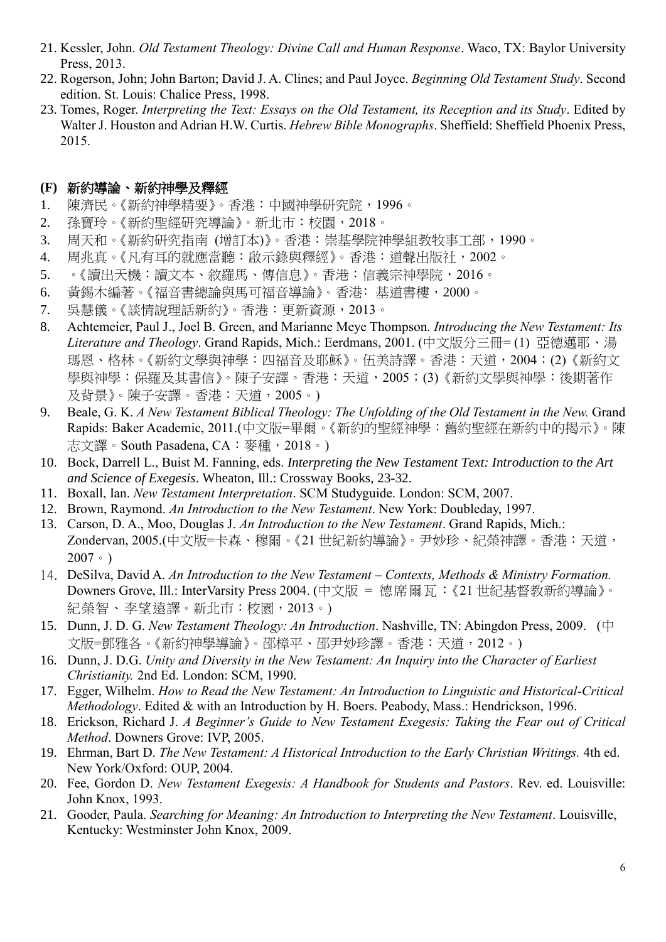- 21. Kessler, John. *Old Testament Theology: Divine Call and Human Response*. Waco, TX: Baylor University Press, 2013.
- 22. Rogerson, John; John Barton; David J. A. Clines; and Paul Joyce. *Beginning Old Testament Study*. Second edition. St. Louis: Chalice Press, 1998.
- 23. Tomes, Roger. *Interpreting the Text: Essays on the Old Testament, its Reception and its Study*. Edited by Walter J. Houston and Adrian H.W. Curtis. *Hebrew Bible Monographs*. Sheffield: Sheffield Phoenix Press, 2015.

### **(F)** 新約導論、新約神學及釋經

- 1. 陳濟民。《新約神學精要》。香港:中國神學研究院,1996。
- 2. 孫寶玲。《新約聖經研究導論》。新北巿:校園,2018。
- 3. 周天和。《新約研究指南 (增訂本)》。香港:崇基學院神學組教牧事工部,1990。
- 4. 周兆真。《凡有耳的就應當聽:啟示錄與釋經》。香港:道聲出版社,2002。
- 5. 。《讀出天機:讀文本、敘羅馬、傳信息》。香港:信義宗神學院,2016。
- 6. 黃錫木編著。《福音書總論與馬可福音導論》。香港: 基道書樓, 2000。
- 7. 吳慧儀。《談情說理話新約》。香港:更新資源,2013。
- 8. Achtemeier, Paul J., Joel B. Green, and Marianne Meye Thompson. *Introducing the New Testament: Its Literature and Theology*. Grand Rapids, Mich.: Eerdmans, 2001. (中文版分三冊= (1) 亞德邁耶、湯 瑪恩、格林。《新約文學與神學:四福音及耶穌》。伍美詩譯。香港:天道,2004;(2)《新約文 學與神學:保羅及其書信》。陳子安譯。香港:天道,2005;(3)《新約文學與神學:後期著作 及背景》。陳子安譯。香港:天道,2005。)
- 9. Beale, G. K. *A New Testament Biblical Theology: The Unfolding of the Old Testament in the New.* Grand Rapids: Baker Academic, 2011.(中文版=畢爾。《新約的聖經神學:舊約聖經在新約中的揭示》。陳 志文譯。South Pasadena, CA:麥種,2018。)
- 10. Bock, Darrell L., Buist M. Fanning, eds. *Interpreting the New Testament Text: Introduction to the Art and Science of Exegesis*. Wheaton, Ill.: Crossway Books, 23-32.
- 11. Boxall, Ian. *New Testament Interpretation*. SCM Studyguide. London: SCM, 2007.
- 12. Brown, Raymond. *An Introduction to the New Testament*. New York: Doubleday, 1997.
- 13. Carson, D. A., Moo, Douglas J. *An Introduction to the New Testament*. Grand Rapids, Mich.: Zondervan, 2005.(中文版=卡森、穆爾。《21 世紀新約導論》。尹妙珍、紀榮神譯。香港:天道, 2007。)
- 14. DeSilva, David A. *An Introduction to the New Testament – Contexts, Methods & Ministry Formation.* Downers Grove, Ill.: InterVarsity Press 2004. (中文版 = 德席爾瓦:《21 世紀基督教新約導論》。 [紀榮智、李望遠譯](http://www.logos.com.hk/bf/acms/content.asp?site=logosbf&op=search&type=product&match=exact&field=translator&text=%E7%B4%80%E6%A6%AE%E6%99%BA%E3%80%81%E6%9D%8E%E6%9C%9B%E9%81%A0)。新北市:校園, 2013。)
- 15. Dunn, J. D. G. *New Testament Theology: An Introduction*. Nashville, TN: Abingdon Press, 2009. (中 文版=鄧雅各。《新約神學導論》。邵樟平、邵尹妙珍譯。香港:天道,2012。)
- 16. Dunn, J. D.G. *Unity and Diversity in the New Testament: An Inquiry into the Character of Earliest Christianity.* 2nd Ed. London: SCM, 1990.
- 17. Egger, Wilhelm. *How to Read the New Testament: An Introduction to Linguistic and Historical-Critical Methodology*. Edited & with an Introduction by H. Boers. Peabody, Mass.: Hendrickson, 1996.
- 18. Erickson, Richard J. *A Beginner's Guide to New Testament Exegesis: Taking the Fear out of Critical Method*. Downers Grove: IVP, 2005.
- 19. Ehrman, Bart D. *The New Testament: A Historical Introduction to the Early Christian Writings.* 4th ed. New York/Oxford: OUP, 2004.
- 20. Fee, Gordon D. *New Testament Exegesis: A Handbook for Students and Pastors*. Rev. ed. Louisville: John Knox, 1993.
- 21. Gooder, Paula. *Searching for Meaning: An Introduction to Interpreting the New Testament*. Louisville, Kentucky: Westminster John Knox, 2009.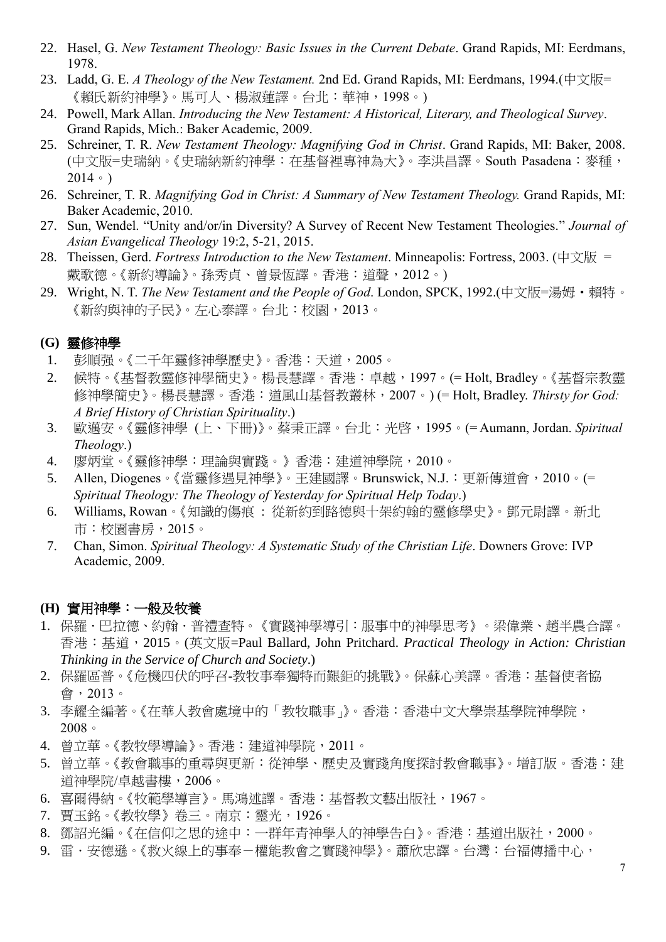- 22. Hasel, G. *New Testament Theology: Basic Issues in the Current Debate*. Grand Rapids, MI: Eerdmans, 1978.
- 23. Ladd, G. E. *A Theology of the New Testament.* 2nd Ed. Grand Rapids, MI: Eerdmans, 1994.(中文版= 《賴氏新約神學》。馬可人、楊淑蓮譯。台北:華神,1998。)
- 24. Powell, Mark Allan. *Introducing the New Testament: A Historical, Literary, and Theological Survey*. Grand Rapids, Mich.: Baker Academic, 2009.
- 25. Schreiner, T. R. *New Testament Theology: Magnifying God in Christ*. Grand Rapids, MI: Baker, 2008. (中文版=史瑞納。《史瑞納新約神學:在基督裡專神為大》。李洪昌譯。South Pasadena:麥種, 2014。)
- 26. Schreiner, T. R. *Magnifying God in Christ: A Summary of New Testament Theology.* Grand Rapids, MI: Baker Academic, 2010.
- 27. Sun, Wendel. "Unity and/or/in Diversity? A Survey of Recent New Testament Theologies." *Journal of Asian Evangelical Theology* 19:2, 5-21, 2015.
- 28. Theissen, Gerd. *Fortress Introduction to the New Testament*. Minneapolis: Fortress, 2003. (中文版 = 戴歌德。《新約導論》。孫秀貞、曾景恆譯。香港:道聲,2012。)
- 29. Wright, N. T. *The New Testament and the People of God*. London, SPCK, 1992.(中文版=湯姆·賴特。 《新約與神的子民》。左心泰譯。台北:校園,2013。

### **(G)** 靈修神學

- 1. 彭順强。《二千年靈修神學歷史》。香港:天道,2005。
- 2. 候特。《基督教靈修神學簡史》。楊長慧譯。香港:卓越,1997。(= Holt, Bradley。《基督宗教靈 修神學簡史》。楊長慧譯。香港:道風山基督教叢林,2007。) (= Holt, Bradley. *Thirsty for God: A Brief History of Christian Spirituality*.)
- 3. 歐邁安。《靈修神學 (上、下冊)》。蔡秉正譯。台北:光啓,1995。(= Aumann, Jordan. *Spiritual Theology*.)
- 4. 廖炳堂。《靈修神學:理論與實踐。》香港:建道神學院,2010。
- 5. Allen, Diogenes。《當靈修遇見神學》。王建國譯。Brunswick, N.J.:更新傳道會,2010。(= *Spiritual Theology: The Theology of Yesterday for Spiritual Help Today*.)
- 6. Williams, Rowan。《知識的傷痕 : 從新約到路德與十架約翰的靈修學史》。鄧元尉譯。新北 市:校園書房,2015。
- 7. Chan, Simon. *Spiritual Theology: A Systematic Study of the Christian Life*. Downers Grove: IVP Academic, 2009.

#### **(H)** 實用神學:一般及牧養

- 1. 保羅 ·巴拉德 · 約翰 ·普禮查特。《實踐神學導引:服事中的神學思考》。梁偉業 ·趙半農合譯。 香港:基道,2015。(英文版=Paul Ballard, John Pritchard. *Practical Theology in Action: Christian Thinking in the Service of Church and Society*.)
- 2. 保羅區普。《危機四伏的呼召-教牧事奉獨特而艱鉅的挑戰》。保蘇心美譯。香港:基督使者協 會,2013。
- 3. 李耀全編著。《在華人教會處境中的「教牧職事」》。香港:香港中文大學崇基學院神學院, 2008。
- 4. 曾立華。《教牧學導論》。香港:建道神學院,2011。
- 5. 曾立華。《教會職事的重尋與更新:從神學、歷史及實踐角度探討教會職事》。增訂版。香港:建 道神學院/卓越書樓,2006。
- 6. 喜爾得納。《牧範學導言》。馬鴻述譯。香港:基督教文藝出版社,1967。
- 7. 賈玉銘。《教牧學》卷三。南京:靈光,1926。
- 8. 鄧詔光編。《在信仰之思的途中:一群年青神學人的神學告白》。香港:基道出版社,2000。
- 9. 雷·安德遜。《救火線上的事奉-權能教會之實踐神學》。蕭欣忠譯。台灣:台福傳播中心,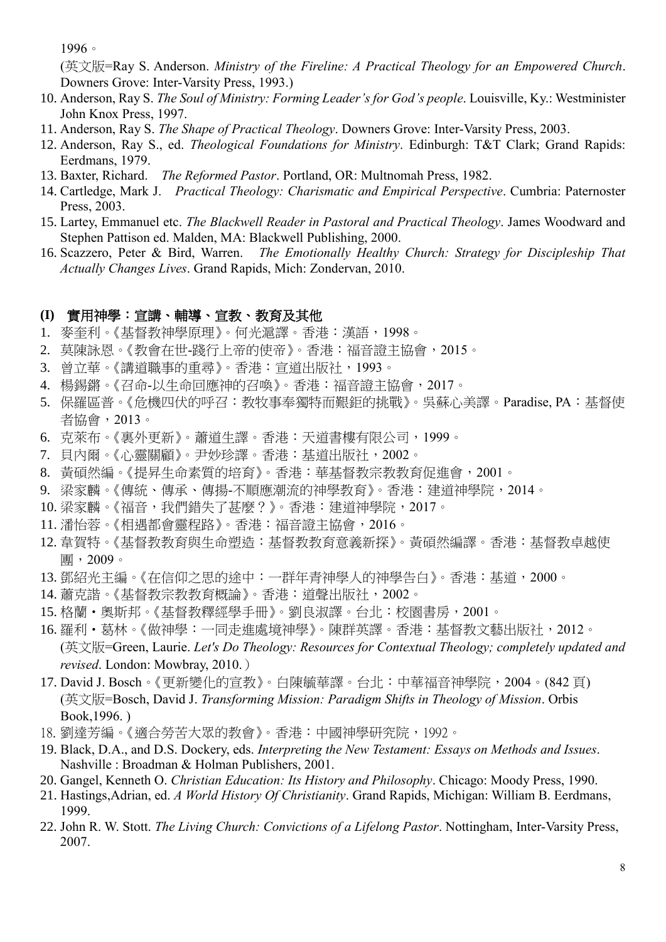1996。

(英文版=Ray S. Anderson. *Ministry of the Fireline: A Practical Theology for an Empowered Church*. Downers Grove: Inter-Varsity Press, 1993.)

- 10. Anderson, Ray S. *The Soul of Ministry: Forming Leader's for God's people*. Louisville, Ky.: Westminister John Knox Press, 1997.
- 11. Anderson, Ray S. *The Shape of Practical Theology*. Downers Grove: Inter-Varsity Press, 2003.
- 12. Anderson, Ray S., ed. *Theological Foundations for Ministry*. Edinburgh: T&T Clark; Grand Rapids: Eerdmans, 1979.
- 13. Baxter, Richard. *The Reformed Pastor*. Portland, OR: Multnomah Press, 1982.
- 14. Cartledge, Mark J. *Practical Theology: Charismatic and Empirical Perspective*. Cumbria: Paternoster Press, 2003.
- 15. Lartey, Emmanuel etc. *The Blackwell Reader in Pastoral and Practical Theology*. James Woodward and Stephen Pattison ed. Malden, MA: Blackwell Publishing, 2000.
- 16. Scazzero, Peter & Bird, Warren. *The Emotionally Healthy Church: Strategy for Discipleship That Actually Changes Lives*. Grand Rapids, Mich: Zondervan, 2010.

### **(I)** 實用神學:宣講、輔導、宣教、教育及其他

- 1. 麥奎利。《基督教神學原理》。何光滬譯。香港:漢語,1998。
- 2. 莫陳詠恩。《教會在世-踐行上帝的使帝》。香港:福音證主協會,2015。
- 3. 曾立華。《講道職事的重尋》。香港:宣道出版社,1993。
- 4. 楊錫鏘。《召命-以生命回應神的召喚》。香港:福音證主協會,2017。
- 5. 保羅區普。《危機四伏的呼召:教牧事奉獨特而艱鉅的挑戰》。吳蘇心美譯。Paradise, PA:基督使 者協會,2013。
- 6. 克萊布。《裏外更新》。蕭道生譯。香港:天道書樓有限公司,1999。
- 7. 貝內爾。《心靈關顧》。尹妙珍譯。香港:基道出版社,2002。
- 8. 黃碩然編。《提昇生命素質的培育》。香港:華基督教宗教教育促進會,2001。
- 9. 梁家麟。《傳統、傳承、傳揚-不順應潮流的神學教育》。香港:建道神學院,2014。
- 10. 梁家麟。《福音,我們錯失了甚麼?》。香港:建道神學院,2017。
- 11. 潘怡蓉。《相遇都會靈程路》。香港:福音證主協會,2016。
- 12. 韋賀特。《基督教教育與生命塑造:基督教教育意義新探》。黃碩然編譯。香港:基督教卓越使 團,2009。
- 13. 鄧紹光主編。《在信仰之思的途中:一群年青神學人的神學告白》。香港:基道,2000。
- 14. 蕭克諧。《基督教宗教教育概論》。香港:道聲出版社,2002。
- 15. 格蘭·奧斯邦。《基督教釋經學手冊》。劉良淑譯。台北:校園書房, 2001。
- 16. 羅利·葛林。《做神學:一同走進處境神學》。陳群英譯。香港:基督教文藝出版社,2012。 (英文版=Green, Laurie. *Let's Do Theology: Resources for Contextual Theology; completely updated and revised*. London: Mowbray, 2010.)
- 17. David J. Bosch。《更新變化的宣教》。白陳毓華譯。台北:中華福音神學院,2004。(842 頁) (英文版=Bosch, David J. *Transforming Mission: Paradigm Shifts in Theology of Mission*. Orbis Book,1996. )
- 18. 劉達芳編。《適合勞苦大眾的教會》。香港:中國神學研究院,1992。
- 19. Black, D.A., and D.S. Dockery, eds. *Interpreting the New Testament: Essays on Methods and Issues*. Nashville : Broadman & Holman Publishers, 2001.
- 20. Gangel, Kenneth O. *Christian Education: Its History and Philosophy*. Chicago: Moody Press, 1990.
- 21. Hastings,Adrian, ed. *A World History Of Christianity*. Grand Rapids, Michigan: William B. Eerdmans, 1999.
- 22. John R. W. Stott. *The Living Church: Convictions of a Lifelong Pastor*. Nottingham, Inter-Varsity Press, 2007.